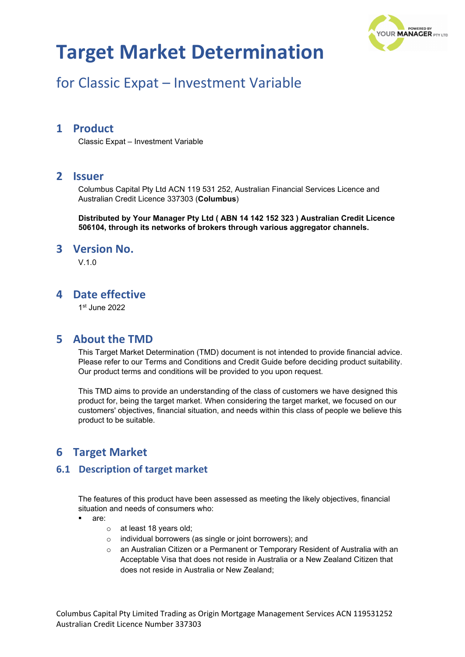

# for Classic Expat – Investment Variable

### **1 Product**

Classic Expat – Investment Variable

### **2 Issuer**

Columbus Capital Pty Ltd ACN 119 531 252, Australian Financial Services Licence and Australian Credit Licence 337303 (**Columbus**)

**Distributed by Your Manager Pty Ltd ( ABN 14 142 152 323 ) Australian Credit Licence 506104, through its networks of brokers through various aggregator channels.**

#### **3 Version No.**

 $V$ 10

### **4 Date effective**

1st June 2022

### **5 About the TMD**

This Target Market Determination (TMD) document is not intended to provide financial advice. Please refer to our Terms and Conditions and Credit Guide before deciding product suitability. Our product terms and conditions will be provided to you upon request.

This TMD aims to provide an understanding of the class of customers we have designed this product for, being the target market. When considering the target market, we focused on our customers' objectives, financial situation, and needs within this class of people we believe this product to be suitable.

## **6 Target Market**

#### **6.1 Description of target market**

The features of this product have been assessed as meeting the likely objectives, financial situation and needs of consumers who:

- are:
	- o at least 18 years old;
	- o individual borrowers (as single or joint borrowers); and
	- o an Australian Citizen or a Permanent or Temporary Resident of Australia with an Acceptable Visa that does not reside in Australia or a New Zealand Citizen that does not reside in Australia or New Zealand;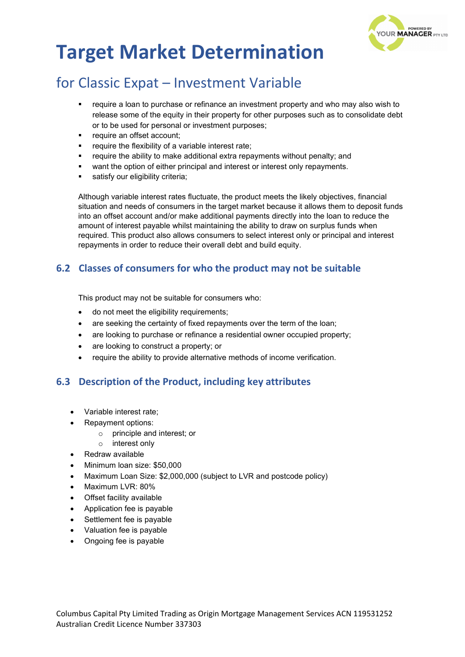

# for Classic Expat – Investment Variable

- require a loan to purchase or refinance an investment property and who may also wish to release some of the equity in their property for other purposes such as to consolidate debt or to be used for personal or investment purposes;
- require an offset account;
- require the flexibility of a variable interest rate;
- require the ability to make additional extra repayments without penalty; and
- want the option of either principal and interest or interest only repayments.
- satisfy our eligibility criteria;

Although variable interest rates fluctuate, the product meets the likely objectives, financial situation and needs of consumers in the target market because it allows them to deposit funds into an offset account and/or make additional payments directly into the loan to reduce the amount of interest payable whilst maintaining the ability to draw on surplus funds when required. This product also allows consumers to select interest only or principal and interest repayments in order to reduce their overall debt and build equity.

### **6.2 Classes of consumers for who the product may not be suitable**

This product may not be suitable for consumers who:

- do not meet the eligibility requirements;
- are seeking the certainty of fixed repayments over the term of the loan;
- are looking to purchase or refinance a residential owner occupied property;
- are looking to construct a property; or
- require the ability to provide alternative methods of income verification.

### **6.3 Description of the Product, including key attributes**

- Variable interest rate;
- Repayment options:
	- o principle and interest; or
	- o interest only
- Redraw available
- Minimum loan size: \$50,000
- Maximum Loan Size: \$2,000,000 (subject to LVR and postcode policy)
- Maximum LVR: 80%
- Offset facility available
- Application fee is payable
- Settlement fee is payable
- Valuation fee is payable
- Ongoing fee is payable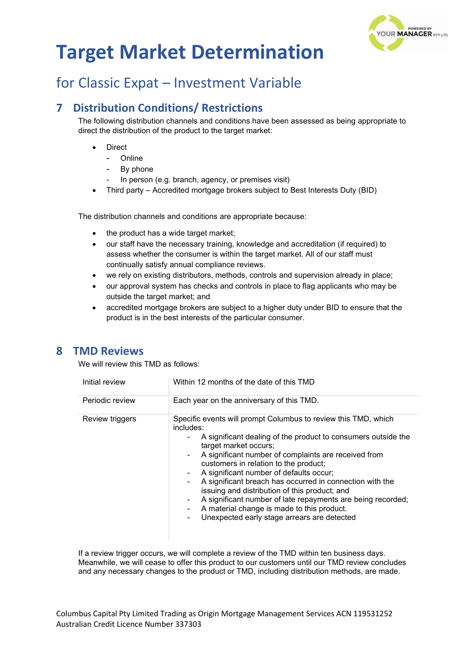

# for Classic Expat – Investment Variable

## **7 Distribution Conditions/ Restrictions**

The following distribution channels and conditions have been assessed as being appropriate to direct the distribution of the product to the target market:

- **Direct** 
	- Online
	- By phone
	- In person (e.g. branch, agency, or premises visit)
- Third party Accredited mortgage brokers subject to Best Interests Duty (BID)

The distribution channels and conditions are appropriate because:

- the product has a wide target market;
- our staff have the necessary training, knowledge and accreditation (if required) to assess whether the consumer is within the target market. All of our staff must continually satisfy annual compliance reviews.
- we rely on existing distributors, methods, controls and supervision already in place;
- our approval system has checks and controls in place to flag applicants who may be outside the target market; and
- accredited mortgage brokers are subject to a higher duty under BID to ensure that the product is in the best interests of the particular consumer.

### **8 TMD Reviews**

We will review this TMD as follows:

| Initial review  | Within 12 months of the date of this TMD                                                                                                                                                                                                                                                                                                                                                                                                                                                                                                                                                                                |
|-----------------|-------------------------------------------------------------------------------------------------------------------------------------------------------------------------------------------------------------------------------------------------------------------------------------------------------------------------------------------------------------------------------------------------------------------------------------------------------------------------------------------------------------------------------------------------------------------------------------------------------------------------|
| Periodic review | Each year on the anniversary of this TMD.                                                                                                                                                                                                                                                                                                                                                                                                                                                                                                                                                                               |
| Review triggers | Specific events will prompt Columbus to review this TMD, which<br>includes:<br>A significant dealing of the product to consumers outside the<br>target market occurs;<br>A significant number of complaints are received from<br>$\blacksquare$<br>customers in relation to the product;<br>A significant number of defaults occur;<br>۰.<br>A significant breach has occurred in connection with the<br>issuing and distribution of this product; and<br>A significant number of late repayments are being recorded;<br>۰<br>A material change is made to this product.<br>Unexpected early stage arrears are detected |

If a review trigger occurs, we will complete a review of the TMD within ten business days. Meanwhile, we will cease to offer this product to our customers until our TMD review concludes and any necessary changes to the product or TMD, including distribution methods, are made.